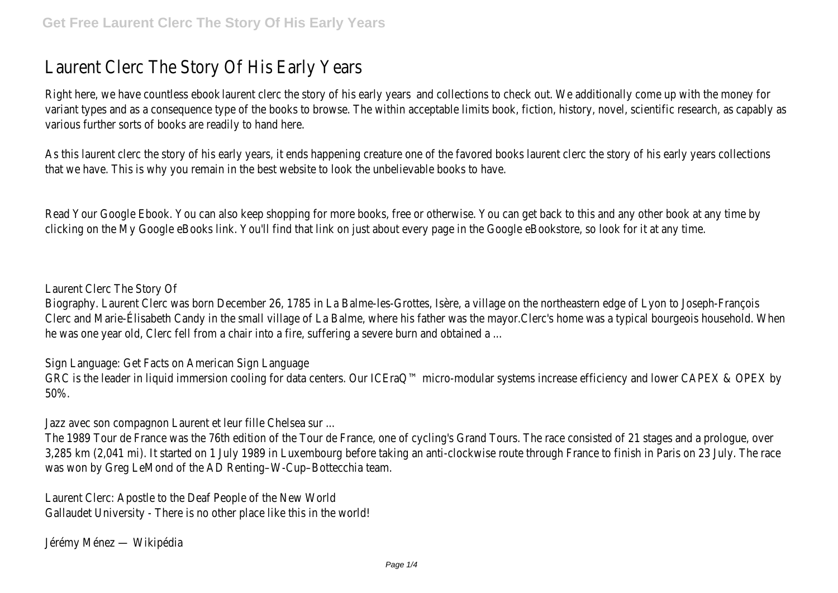## Laurent Clerc The Story Of His Early Years

Right here, we have dournent essign to dive story of dhis of and viores and check out. We additionally come variant types and as a consequence type of the books to browse. The within acceptable limits various further sorts of books are readily to hand here.

As this laurent clerc the story of his early years, it ends happening creature one of the favore that we have. This is why you remain in the best website to look the unbelievable books to he

Read Your Google Ebook. You can also keep shopping for more books, free or otherwise. You can get any other b clicking on the My Google eBooks link. You'll find that link on just about every page in the Goo

Laurent Clerc The Story Of

Biography. Laurent Clerc was born December 26, 1785 in La Balme-les-Grottes, Isère, a village Clerc and Marie-Élisabeth Candy in the small village of La Balme, where his father was the ma he was one year old, Clerc fell from a chair into a fire, suffering a severe burn and obtained a

Sign Language: Get Facts on American Sign Language

GRC is the leader in liquid immersion cooling for data centers. Our ICEraQ<sup>™</sup> micro-modular sys 50%.

Jazz avec son compagnon Laurent et leur fille Chelsea sur ...

The 1989 Tour de France was the 76th edition of the Tour de France, one of cycling's Grand 3,285 km (2,041 mi). It started on 1 July 1989 in Luxembourg before taking an anti-clockwise was won by Greg LeMond of the AD Renting–W-Cup–Bottecchia team.

Laurent Clerc: Apostle to the Deaf People of the New World Gallaudet University - There is no other place like this in the world!

Jérémy Ménez — Wikipédia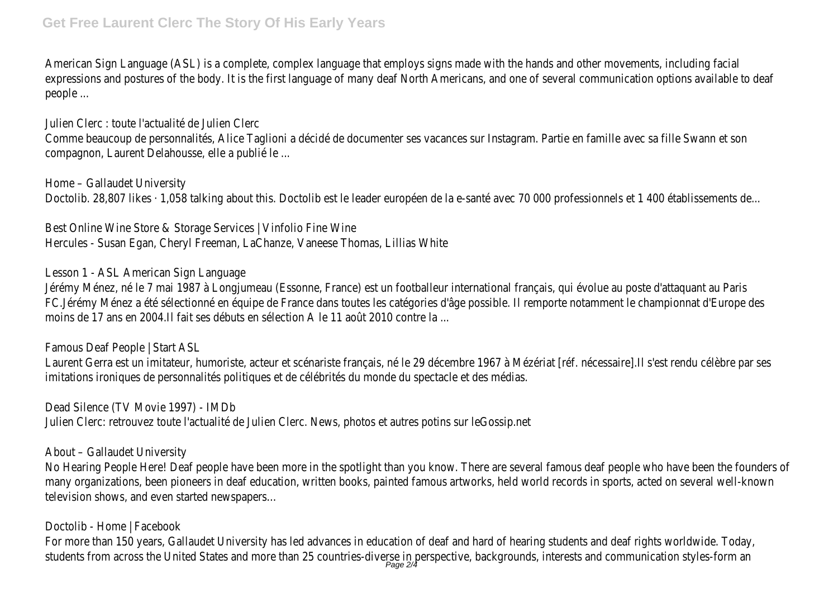American Sign Language (ASL) is a complete, complex language that employs signs made with expressions and postures of the body. It is the first language of many deaf North Americans, people ...

Julien Clerc : toute l'actualité de Julien Clerc

Comme beaucoup de personnalités, Alice Taglioni a décidé de documenter ses vacances sur Inst compagnon, Laurent Delahousse, elle a publié le ...

Home – Gallaudet University Doctolib. 28,807 likes · 1,058 talking about this. Doctolib est le leader européen de la e-santé

Best Online Wine Store & Storage Services | Vinfolio Fine Wine Hercules - Susan Egan, Cheryl Freeman, LaChanze, Vaneese Thomas, Lillias White

Lesson 1 - ASL American Sign Language

Jérémy Ménez, né le 7 mai 1987 à Longjumeau (Essonne, France) est un footballeur internatio FC.Jérémy Ménez a été sélectionné en équipe de France dans toutes les catégories d'âge possi moins de 17 ans en 2004.Il fait ses débuts en sélection A le 11 août 2010 contre la ...

Famous Deaf People | Start ASL

Laurent Gerra est un imitateur, humoriste, acteur et scénariste français, né le 29 décembre 1 imitations ironiques de personnalités politiques et de célébrités du monde du spectacle et des

Dead Silence (TV Movie 1997) - IMDb Julien Clerc: retrouvez toute l'actualité de Julien Clerc. News, photos et autres potins sur leGo

About – Gallaudet University

No Hearing People Here! Deaf people have been more in the spotlight than you know. There ar many organizations, been pioneers in deaf education, written books, painted famous artworks, television shows, and even started newspapers…

Doctolib - Home | Facebook

For more than 150 years, Gallaudet University has led advances in education of deaf and hard students from across the United States and more than 25 countries-diverse in perspective, b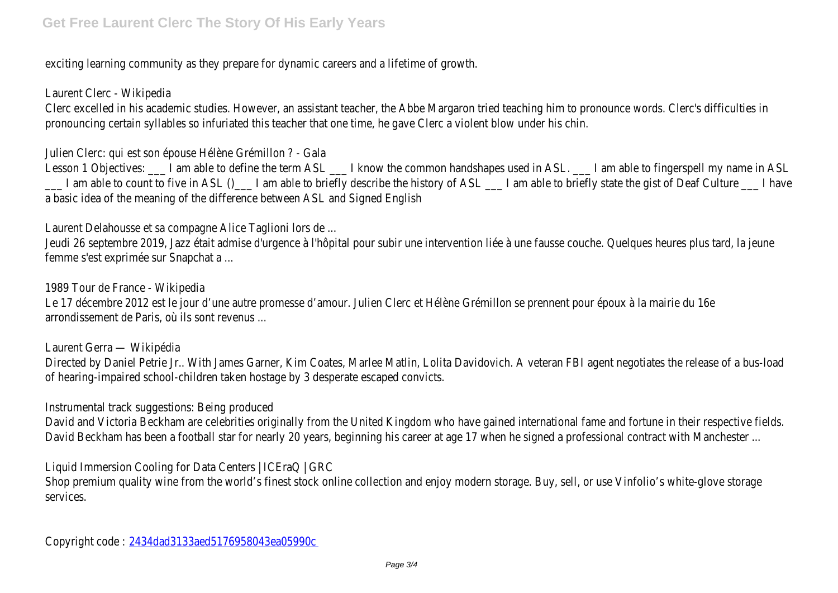exciting learning community as they prepare for dynamic careers and a lifetime of growth.

Laurent Clerc - Wikipedia

Clerc excelled in his academic studies. However, an assistant teacher, the Abbe Margaron tried pronouncing certain syllables so infuriated this teacher that one time, he gave Clerc a violent

Julien Clerc: qui est son épouse Hélène Grémillon ? - Gala

Lesson 1 Objectives: \_\_\_ I am able to define the term ASL \_\_\_ I know the common handshape  $\frac{1}{\sqrt{1-\mu}}$  I am able to count to five in ASL () $\frac{1}{\sqrt{1-\mu}}$  I am able to briefly describe the history of ASL  $\frac{1}{\sqrt{1-\mu}}$ a basic idea of the meaning of the difference between ASL and Signed English

Laurent Delahousse et sa compagne Alice Taglioni lors de ...

Jeudi 26 septembre 2019, Jazz était admise d'urgence à l'hôpital pour subir une intervention li femme s'est exprimée sur Snapchat a ...

1989 Tour de France - Wikipedia

Le 17 décembre 2012 est le jour d'une autre promesse d'amour. Julien Clerc et Hélène Grémillon arrondissement de Paris, où ils sont revenus ...

Laurent Gerra — Wikipédia

Directed by Daniel Petrie Jr.. With James Garner, Kim Coates, Marlee Matlin, Lolita Davidovich. of hearing-impaired school-children taken hostage by 3 desperate escaped convicts.

Instrumental track suggestions: Being produced

David and Victoria Beckham are celebrities originally from the United Kingdom who have gained David Beckham has been a football star for nearly 20 years, beginning his career at age 17 wh

Liquid Immersion Cooling for Data Centers | ICEraQ | GRC

Shop premium quality wine from the world's finest stock online collection and enjoy modern storage. services.